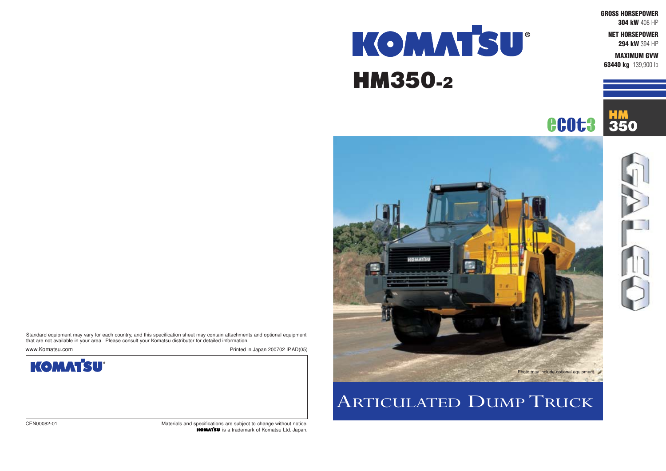**GROSS HORSEPOWER**

**304 kW** 408 HP

**NET HORSEPOWER 294 kW** 394 HP

**MAXIMUM GVW 63440 kg** 139,900 lb

**HM**<br>350





# KOMMTSU® HM350-2

## ARTICULATED DUMP TRUCK

CEN00082-01 Materials and specifications are subject to change without notice. **KOMATSU** is a trademark of Komatsu Ltd. Japan.



Standard equipment may vary for each country, and this specification sheet may contain attachments and optional equipment that are not available in your area. Please consult your Komatsu distributor for detailed information.

www.Komatsu.com Printed in Japan 200702 IP.AD(05)

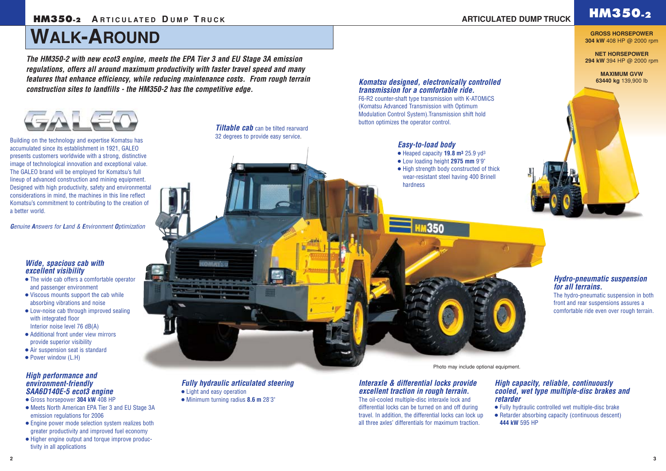## **HM350.**2 **A** RTICULATED DUMP TRUCK **CONSUMISTION ARTICULATED DUMP TRUCK HM350.2**

## **WALK-AROUND**

### *Hydro-pneumatic suspension for all terrains.*

The hydro-pneumatic suspension in both front and rear suspensions assures a comfortable ride even over rough terrain.

### *Interaxle & differential locks provide excellent traction in rough terrain.*

**Tiltable cab** can be tilted rearward 32 degrees to provide easy service.

> The oil-cooled multiple-disc interaxle lock and differential locks can be turned on and off during travel. In addition, the differential locks can lock up all three axles' differentials for maximum traction.

- The wide cab offers a comfortable operator and passenger environment
- Viscous mounts support the cab while absorbing vibrations and noise
- Low-noise cab through improved sealing with integrated floor Interior noise level 76 dB(A)
- Additional front under view mirrors provide superior visibility
- Air suspension seat is standard
- Power window (L.H)

### *Komatsu designed, electronically controlled transmission for a comfortable ride.*

F6-R2 counter-shaft type transmission with K-ATOMiCS (Komatsu Advanced Transmission with Optimum Modulation Control System).Transmission shift hold button optimizes the operator control.

### *Wide, spacious cab with excellent visibility*

#### *High capacity, reliable, continuously cooled, wet type multiple-disc brakes and retarder*

● Fully hydraulic controlled wet multiple-disc brake ● Retarder absorbing capacity (continuous descent) **444 kW** 595 HP

### *Easy-to-load body*

- Heaped capacity **19.8 m3** 25.9 yd3
- Low loading height **2975 mm** 9'9"

1350

● High strength body constructed of thick wear-resistant steel having 400 Brinell hardness

### *High performance and environment-friendly SAA6D140E-5 ecot3 engine*

- Gross horsepower **304 kW** 408 HP
- Meets North American EPA Tier 3 and EU Stage 3A emission regulations for 2006
- Engine power mode selection system realizes both greater productivity and improved fuel economy
- Higher engine output and torque improve productivity in all applications

### *Fully hydraulic articulated steering*

- Light and easy operation
- Minimum turning radius **8.6 m** 28'3"

*The HM350-2 with new ecot3 engine, meets the EPA Tier 3 and EU Stage 3A emission regulations, offers all around maximum productivity with faster travel speed and many features that enhance efficiency, while reducing maintenance costs. From rough terrain construction sites to landfills - the HM350-2 has the competitive edge.*



**GROSS HORSEPOWER 304 kW** 408 HP @ 2000 rpm

**NET HORSEPOWER 294 kW** 394 HP @ 2000 rpm

> **MAXIMUM GVW 63440 kg** 139,900 lb





Building on the technology and expertise Komatsu has accumulated since its establishment in 1921, GALEO presents customers worldwide with a strong, distinctive image of technological innovation and exceptional value. The GALEO brand will be employed for Komatsu's full lineup of advanced construction and mining equipment. Designed with high productivity, safety and environmental considerations in mind, the machines in this line reflect Komatsu's commitment to contributing to the creation of a better world.

*Genuine Answers for Land & Environment Optimization*

#### Photo may include optional equipment.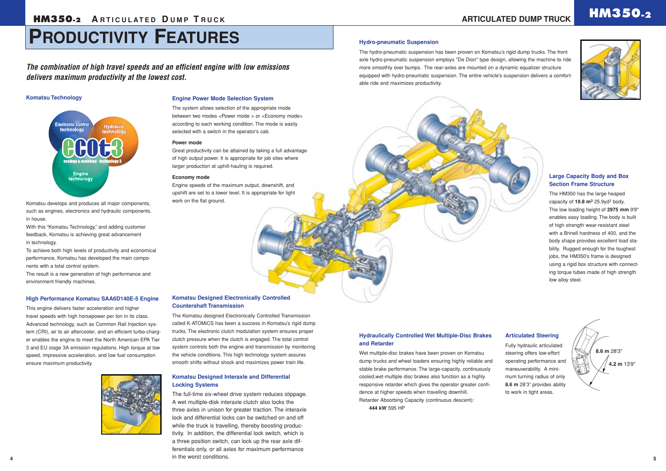#### **Komatsu Designed Interaxle and Differential Locking Systems**

The full-time six-wheel drive system reduces slippage. A wet multiple-disk interaxle clutch also locks the three axles in unison for greater traction. The interaxle lock and differential locks can be switched on and off while the truck is travelling, thereby boosting productivity. In addition, the differential lock switch, which is a three position switch, can lock up the rear axle differentials only, or all axles for maximum performance in the worst conditions.

#### **Hydraulically Controlled Wet Multiple-Disc Brakes and Retarder**

Wet multiple-disc brakes have been proven on Komatsu dump trucks and wheel loaders ensuring highly reliable and stable brake performance. The large-capacity, continuously cooled,wet-multiple disc brakes also function as a highly responsive retarder which gives the operator greater confidence at higher speeds when travelling downhill. Retarder Absorbing Capacity (continuous descent): **444 kW** 595 HP

#### **Large Capacity Body and Box Section Frame Structure**

The HM350 has the large heaped capacity of **19.8 m3** 25.9yd3 body. The low loading height of **2975 mm** 9'9" enables easy loading. The body is built of high strength wear-resistant steel with a Brinell hardness of 400, and the body shape provides excellent load stability. Rugged enough for the toughest jobs, the HM350's frame is designed using a rigid box structure with connecting torque tubes made of high strength low alloy steel.

#### **Articulated Steering**

Fully hydraulic articulated steering offers low-effort operating performance and maneuverability. A minimum turning radius of only **8.6 m** 28'3" provides ability to work in tight areas.

#### **Komatsu Designed Electronically Controlled Countershaft Transmission**

The Komatsu designed Electronically Controlled Transmission called K-ATOMiCS has been a success in Komatsu's rigid dump trucks. The electronic clutch modulation system ensures proper clutch pressure when the clutch is engaged. The total control system controls both the engine and transmission by monitoring the vehicle conditions. This high technology system assures smooth shifts without shock and maximizes power train life.

### **HM350.2 ARTICULATED**





*The combination of high travel speeds and an efficient engine with low emissions delivers maximum productivity at the lowest cost.*

#### **Komatsu Technology**



Komatsu develops and produces all major components, such as engines, electronics and hydraulic components, in house.

With this "Komatsu Technology," and adding customer feedback, Komatsu is achieving great advancement in technology.

To achieve both high levels of productivity and economical performance, Komatsu has developed the main components with a total control system.

The result is a new generation of high performance and environment friendly machines.

#### **High Performance Komatsu SAA6D140E-5 Engine**

This engine delivers faster acceleration and higher travel speeds with high horsepower per ton in its class. Advanced technology, such as Common Rail Injection system (CRI), air to air aftercooler, and an efficient turbo-charger enables the engine to meet the North American EPA Tier 3 and EU stage 3A emission regulations. High torque at low speed, impressive acceleration, and low fuel consumption ensure maximum productivity.



#### **Engine Power Mode Selection System**

The system allows selection of the appropriate mode between two modes <Power mode > or <Economy mode> according to each working condition. The mode is easily selected with a switch in the operator's cab.

#### **Power mode**

Great productivity can be attained by taking a full advantage of high output power. It is appropriate for job sites where larger production at uphill-hauling is required.

#### **Economy mode**

Engine speeds of the maximum output, downshift, and upshift are set to a lower level. It is appropriate for light work on the flat ground.



#### **Hydro-pneumatic Suspension**

The hydro-pneumatic suspension has been proven on Komatsu's rigid dump trucks. The front axle hydro-pneumatic suspension employs "De Dion" type design, allowing the machine to ride more smoothly over bumps. The rear-axles are mounted on a dynamic equalizer structure equipped with hydro-pneumatic suspension. The entire vehicle's suspension delivers a comfortable ride and maximizes productivity.

## **PRODUCTIVITY FEATURES**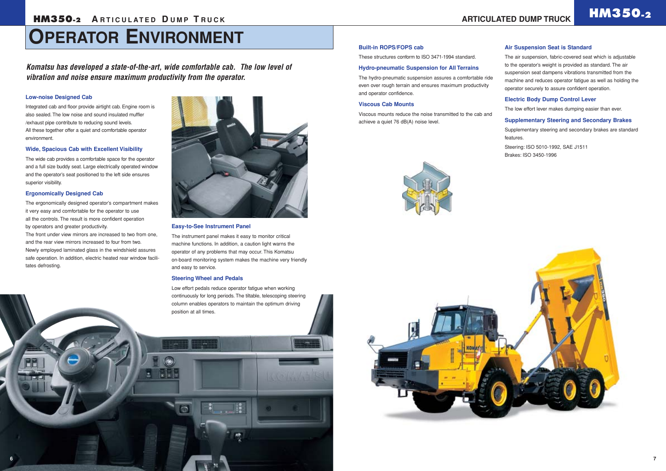## **OPERATOR ENVIRONMENT**

#### **Built-in ROPS/FOPS cab**

These structures conform to ISO 3471-1994 standard.

#### **Hydro-pneumatic Suspension for All Terrains**

The hydro-pneumatic suspension assures a comfortable ride even over rough terrain and ensures maximum productivity and operator confidence.

#### **Viscous Cab Mounts**

Viscous mounts reduce the noise transmitted to the cab and achieve a quiet 76 dB(A) noise level.





#### **Air Suspension Seat is Standard**

The air suspension, fabric-covered seat which is adjustable to the operator's weight is provided as standard. The air suspension seat dampens vibrations transmitted from the machine and reduces operator fatigue as well as holding the operator securely to assure confident operation.

#### **Electric Body Dump Control Lever**

The low effort lever makes dumping easier than ever.

#### **Supplementary Steering and Secondary Brakes**

Supplementary steering and secondary brakes are standard features.

Steering: ISO 5010-1992, SAE J1511 Brakes: ISO 3450-1996

#### **Low-noise Designed Cab**

Integrated cab and floor provide airtight cab. Engine room is also sealed. The low noise and sound insulated muffler /exhaust pipe contribute to reducing sound levels. All these together offer a quiet and comfortable operator environment.

#### **Wide, Spacious Cab with Excellent Visibility**

The wide cab provides a comfortable space for the operator and a full size buddy seat. Large electrically operated window and the operator's seat positioned to the left side ensures superior visibility.

#### **Ergonomically Designed Cab**

The ergonomically designed operator's compartment makes it very easy and comfortable for the operator to use all the controls. The result is more confident operation by operators and greater productivity.

The front under view mirrors are increased to two from one, and the rear view mirrors increased to four from two. Newly employed laminated glass in the windshield assures safe operation. In addition, electric heated rear window facilitates defrosting.



#### **Easy-to-See Instrument Panel**

The instrument panel makes it easy to monitor critical machine functions. In addition, a caution light warns the operator of any problems that may occur. This Komatsu on-board monitoring system makes the machine very friendly and easy to service.

#### **Steering Wheel and Pedals**

Low effort pedals reduce operator fatigue when working continuously for long periods. The tiltable, telescoping steering column enables operators to maintain the optimum driving position at all times.

*Komatsu has developed a state-of-the-art, wide comfortable cab. The low level of vibration and noise ensure maximum productivity from the operator.*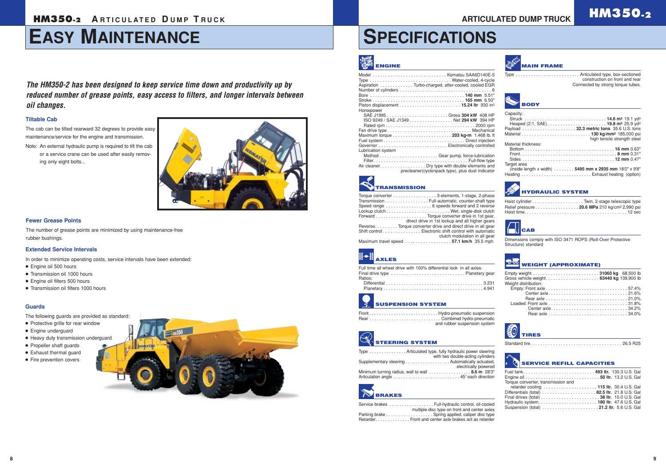## **HM350-2 ARTICULATED DUMP TRUCK CONSUMING ARTICULATED DUMP TRUCK <b>HM350-2**

## **EASY MAINTENANCE**

## **SPECIFICATIONS**

| Full time all wheel drive with 100% differential lock in all axles. |  |
|---------------------------------------------------------------------|--|
| Ratios:                                                             |  |
|                                                                     |  |

### **SUSPENSION SYSTEM**

| and rubber suspension system |
|------------------------------|

| <b>ENGINE</b>                                                                                                                                                                                      | <b>MAIN FRAME</b>                                                                                                                                                                                                                                                                                      |
|----------------------------------------------------------------------------------------------------------------------------------------------------------------------------------------------------|--------------------------------------------------------------------------------------------------------------------------------------------------------------------------------------------------------------------------------------------------------------------------------------------------------|
| Type  Water-cooled, 4-cycle<br>Aspiration Turbo-charged, after-cooled, cooled EGR                                                                                                                  | Type  Articulated type, box-sectioned<br>construction on front and rear<br>Connected by strong torque tubes.                                                                                                                                                                                           |
|                                                                                                                                                                                                    | <b>BODY</b>                                                                                                                                                                                                                                                                                            |
| Horsepower<br>ISO 9249 / SAE J1349 Net 294 kW 394 HP<br>Lubrication system<br>Air cleaner. Dry type with double elements and<br>precleaner(cyclonpack type), plus dust indicator                   | Capacity:<br>Struck  14.6 m <sup>3</sup> 19.1 yd <sup>3</sup><br>Heaped (2:1, SAE) 19.8 m <sup>3</sup> 25.9 yd <sup>3</sup><br>Payload  32.3 metric tons 35.6 U.S. tons<br>high tensile strength steel<br>Material thickness:<br>Target area<br>(inside length x width) 5495 mm x 2935 mm 18'0" x 9'8" |
| <b>TRANSMISSION</b>                                                                                                                                                                                | <b>HYDRAULIC SYSTEM</b>                                                                                                                                                                                                                                                                                |
| Torque converter 3-elements, 1-stage, 2-phase<br>Transmission Full-automatic, counter-shaft type<br>Forward Torque converter drive in 1st gear,<br>direct drive in 1st lockup and all higher gears | Relief pressure 20.6 MPa 210 kg/cm <sup>2</sup> 2,990 psi                                                                                                                                                                                                                                              |
| Reverse. Torque converter drive and direct drive in all gear<br>Shift control Electronic shift control with automatic<br>clutch modulation in all gear<br>Maximum travel speed 57.1 km/h 35.5 mph  | <b>CAB</b><br>п<br>Dimensions comply with ISO 3471 ROPS (Roll-Over Protective                                                                                                                                                                                                                          |
|                                                                                                                                                                                                    | Structure) standard                                                                                                                                                                                                                                                                                    |
| <b>AXLES</b>                                                                                                                                                                                       | <b>WEIGHT (APPROXIMATE)</b>                                                                                                                                                                                                                                                                            |
| Full time all wheel drive with 100% differential lock in all axles.<br>Ratios:                                                                                                                     | Weight distribution:                                                                                                                                                                                                                                                                                   |

| Torque converter 3-elements, 1-stage, 2-phase                                |                                                 |
|------------------------------------------------------------------------------|-------------------------------------------------|
| Transmission Full-automatic, counter-shaft type                              |                                                 |
|                                                                              |                                                 |
|                                                                              |                                                 |
|                                                                              |                                                 |
|                                                                              | direct drive in 1st lockup and all higher gears |
| Reverse. Torque converter drive and direct drive in all gear                 |                                                 |
| Shift control Electronic shift control with automatic                        |                                                 |
|                                                                              | clutch modulation in all gear                   |
| Maximum travel speed $\ldots \ldots \ldots \ldots \ldots 57.1$ km/h 35.5 mph |                                                 |

## **STEERING SYSTEM**

| Type  Articulated type, fully hydraulic power steering |                                  |
|--------------------------------------------------------|----------------------------------|
| Supplementary steering Automatically actuated,         | with two double-acting cylinders |
|                                                        | electrically powered             |
| Minimum turning radius, wall to wall  8.6 m 28'3"      |                                  |
|                                                        |                                  |

### **BRAKES**

| Service brakes Full-hydraulic control, oil-cooled      |
|--------------------------------------------------------|
| multiple-disc type on front and center axles           |
| Parking brake  Spring applied, caliper disc type       |
| Retarder. Front and center axle brakes act as retarder |

Center axle. . . . . . . . . . . . . . . . . . . . . . . . . . . . . . . 21.6% Rear axle . . . . . . . . . . . . . . . . . . . . . . . . . . . . . . . . 21.0% Loaded: Front axle . . . . . . . . . . . . . . . . . . . . . . . . . . . . . . . 31.8% Center axle. . . . . . . . . . . . . . . . . . . . . . . . . . . . . . 34.2% Rear axle . . . . . . . . . . . . . . . . . . . . . . . . . . . . . . . 34.0%



Standard tire. . . . . . . . . . . . . . . . . . . . . . . . . . . . . . . . . . . . 26.5 R25

#### **SERVICE REFILL CAPACITIES**

Fuel tank. . . . . . . . . . . . . . . . . . . . . . . . . . . . **493 ltr.** 130.3 U.S. Gal Engine oil . . . . . . . . . . . . . . . . . . . . . . . . . . . . . **50 ltr.** 13.2 U.S. Gal Torque converter, transmission and retarder cooling . . . . . . . . . . . . . . . . . . . . . **115 ltr.** 30.4 U.S. Gal

Differentials (total) . . . . . . . . . . . . . . . . . . . . . **82.5 ltr.** 21.8 U.S. Gal Final drives (total) . . . . . . . . . . . . . . . . . . . . . . . **38 ltr.** 10.0 U.S. Gal Hydraulic system. . . . . . . . . . . . . . . . . . . . . . . **180 ltr.** 47.6 U.S. Gal Suspension (total) . . . . . . . . . . . . . . . . . . . . . . **21.2 ltr.** 5.6 U.S. Gal

#### **Tiltable Cab**

The cab can be tilted rearward 32 degrees to provide easy maintenance/service for the engine and transmission.

Note: An external hydraulic pump is required to tilt the cab or a service crane can be used after easily removing only eight bolts...



*The HM350-2 has been designed to keep service time down and productivity up by reduced number of grease points, easy access to filters, and longer intervals between oil changes.*

#### **Fewer Grease Points**

The number of grease points are minimized by using maintenance-free rubber bushings.

#### **Guards**

The following guards are provided as standard:

- Protective grille for rear window
- Engine underguard
- Heavy duty transmission underguard
- Propeller shaft guards
- Exhaust thermal guard
- Fire prevention covers



#### **Extended Service Intervals**

In order to minimize operating costs, service intervals have been extended:

- Engine oil 500 hours
- Transmission oil 1000 hours
- Engine oil filters 500 hours
- Transmission oil filters 1000 hours